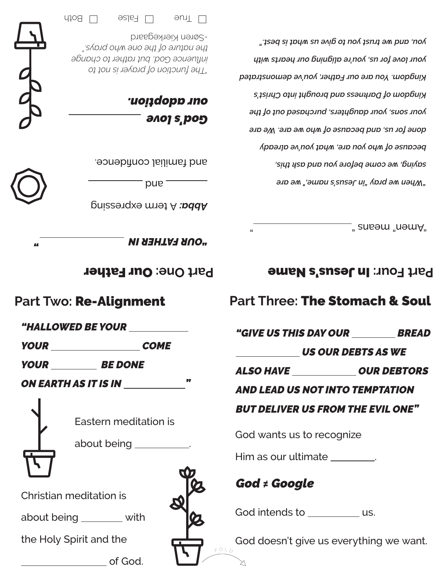*"When we pray "in Jesus's name," we are saying, we come before you and ask this, because of who you are, what you've already done for us, and because of who we are. We are your sons, your daughters, purchased out of the Kingdom of Darkness and brought into Christ's Kingdom. You are our Father, you've demonstrated your love for us, you're aligning our hearts with you, and we trust you to give us what is best."*

 $\overline{\phantom{x}}$ " ansom "nomA"

## **Part Four: In Jesus's Name**

### **Part Three:** The Stomach & Soul

*"GIVE US THIS DAY OUR BREAD*

#### *US OUR DEBTS AS WE*

*ALSO HAVE OUR DEBTORS*

### *AND LEAD US NOT INTO TEMPTATION*

#### *BUT DELIVER US FROM THE EVIL ONE"*

God wants us to recognize

Him as our ultimate \_\_\_\_\_\_\_\_.

# *God ≠ Google*

God intends to us.

God doesn't give us everything we want.

 *God's love our adoption.*

*"The function of prayer is not to influence God, but rather to change the nature of the one who prays."*



-Søren Kierkegaard

 $\Box$  Both  $\Box$  ealse  $\Box$  Both



and familial confidence.

and

Abba: A term expressing



*" "OUR FATHER IN* 

**Part One: Our Father** 

# **Part Two:** Re-Alignment

*"HALLOWED BE YOUR* 

*YOUR COME*

*YOUR BE DONE*

*ON EARTH AS IT IS IN "*



Eastern meditation is

about being **...** 

Christian meditation is

about being \_\_\_\_\_\_\_ with

the Holy Spirit and the

**COLLEGE** Of God.